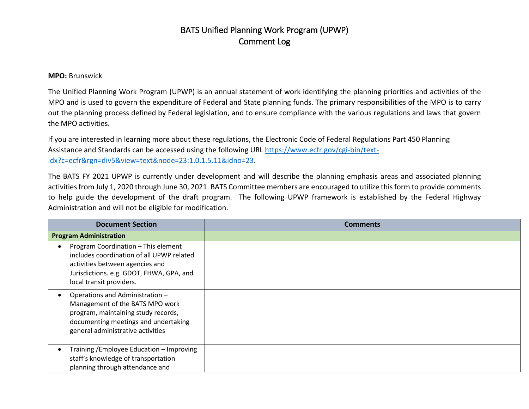## BATS Unified Planning Work Program (UPWP) Comment Log

## **MPO:** Brunswick

The Unified Planning Work Program (UPWP) is an annual statement of work identifying the planning priorities and activities of the MPO and is used to govern the expenditure of Federal and State planning funds. The primary responsibilities of the MPO is to carry out the planning process defined by Federal legislation, and to ensure compliance with the various regulations and laws that govern the MPO activities.

If you are interested in learning more about these regulations, the Electronic Code of Federal Regulations Part 450 Planning Assistance and Standards can be accessed using the following URL [https://www.ecfr.gov/cgi-bin/text](https://www.ecfr.gov/cgi-bin/text-idx?c=ecfr&rgn=div5&view=text&node=23:1.0.1.5.11&idno=23)[idx?c=ecfr&rgn=div5&view=text&node=23:1.0.1.5.11&idno=23.](https://www.ecfr.gov/cgi-bin/text-idx?c=ecfr&rgn=div5&view=text&node=23:1.0.1.5.11&idno=23)

The BATS FY 2021 UPWP is currently under development and will describe the planning emphasis areas and associated planning activities from July 1, 2020 through June 30, 2021. BATS Committee members are encouraged to utilize this form to provide comments to help guide the development of the draft program. The following UPWP framework is established by the Federal Highway Administration and will not be eligible for modification.

| <b>Document Section</b>                                                                                                                                                                     | <b>Comments</b> |
|---------------------------------------------------------------------------------------------------------------------------------------------------------------------------------------------|-----------------|
| <b>Program Administration</b>                                                                                                                                                               |                 |
| Program Coordination - This element<br>includes coordination of all UPWP related<br>activities between agencies and<br>Jurisdictions. e.g. GDOT, FHWA, GPA, and<br>local transit providers. |                 |
| Operations and Administration -<br>Management of the BATS MPO work<br>program, maintaining study records,<br>documenting meetings and undertaking<br>general administrative activities      |                 |
| Training / Employee Education - Improving<br>staff's knowledge of transportation<br>planning through attendance and                                                                         |                 |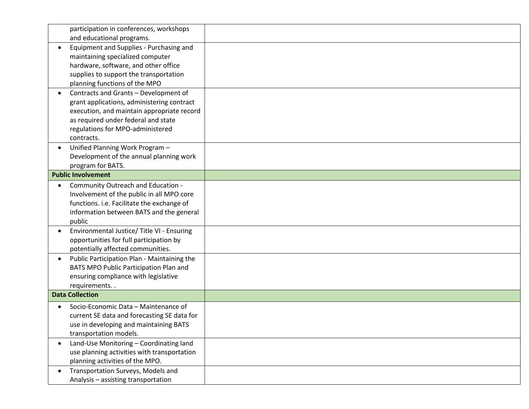| participation in conferences, workshops                  |  |
|----------------------------------------------------------|--|
| and educational programs.                                |  |
| Equipment and Supplies - Purchasing and                  |  |
| maintaining specialized computer                         |  |
| hardware, software, and other office                     |  |
| supplies to support the transportation                   |  |
| planning functions of the MPO                            |  |
| Contracts and Grants - Development of<br>$\bullet$       |  |
| grant applications, administering contract               |  |
| execution, and maintain appropriate record               |  |
| as required under federal and state                      |  |
| regulations for MPO-administered                         |  |
| contracts.                                               |  |
| Unified Planning Work Program -                          |  |
| Development of the annual planning work                  |  |
| program for BATS.                                        |  |
| <b>Public Involvement</b>                                |  |
| Community Outreach and Education -<br>$\bullet$          |  |
| Involvement of the public in all MPO core                |  |
| functions. i.e. Facilitate the exchange of               |  |
| information between BATS and the general                 |  |
| public                                                   |  |
| Environmental Justice/ Title VI - Ensuring               |  |
| opportunities for full participation by                  |  |
| potentially affected communities.                        |  |
| Public Participation Plan - Maintaining the<br>$\bullet$ |  |
| BATS MPO Public Participation Plan and                   |  |
| ensuring compliance with legislative                     |  |
| requirements                                             |  |
| <b>Data Collection</b>                                   |  |
| Socio-Economic Data - Maintenance of                     |  |
| current SE data and forecasting SE data for              |  |
| use in developing and maintaining BATS                   |  |
| transportation models.                                   |  |
| Land-Use Monitoring - Coordinating land<br>$\bullet$     |  |
| use planning activities with transportation              |  |
| planning activities of the MPO.                          |  |
| Transportation Surveys, Models and<br>$\bullet$          |  |
| Analysis - assisting transportation                      |  |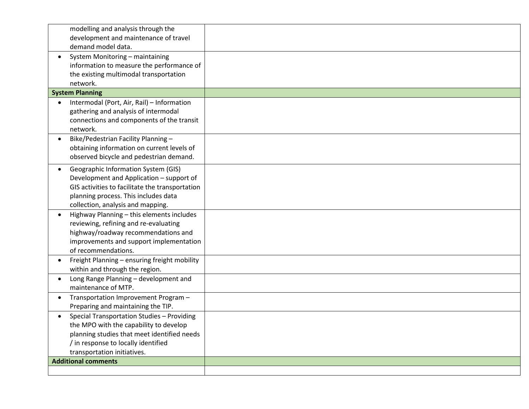|                            | modelling and analysis through the              |  |
|----------------------------|-------------------------------------------------|--|
|                            | development and maintenance of travel           |  |
|                            | demand model data.                              |  |
| ٠                          | System Monitoring - maintaining                 |  |
|                            | information to measure the performance of       |  |
|                            | the existing multimodal transportation          |  |
| network.                   |                                                 |  |
| <b>System Planning</b>     |                                                 |  |
| $\bullet$                  | Intermodal (Port, Air, Rail) - Information      |  |
|                            | gathering and analysis of intermodal            |  |
|                            | connections and components of the transit       |  |
| network.                   |                                                 |  |
|                            | Bike/Pedestrian Facility Planning-              |  |
|                            | obtaining information on current levels of      |  |
|                            | observed bicycle and pedestrian demand.         |  |
| $\bullet$                  | Geographic Information System (GIS)             |  |
|                            | Development and Application - support of        |  |
|                            | GIS activities to facilitate the transportation |  |
|                            | planning process. This includes data            |  |
|                            | collection, analysis and mapping.               |  |
|                            | Highway Planning - this elements includes       |  |
|                            | reviewing, refining and re-evaluating           |  |
|                            | highway/roadway recommendations and             |  |
|                            | improvements and support implementation         |  |
|                            | of recommendations.                             |  |
|                            | Freight Planning - ensuring freight mobility    |  |
|                            | within and through the region.                  |  |
|                            | Long Range Planning - development and           |  |
|                            | maintenance of MTP.                             |  |
| $\bullet$                  | Transportation Improvement Program -            |  |
|                            | Preparing and maintaining the TIP.              |  |
|                            | Special Transportation Studies - Providing      |  |
|                            | the MPO with the capability to develop          |  |
|                            | planning studies that meet identified needs     |  |
|                            | / in response to locally identified             |  |
|                            | transportation initiatives.                     |  |
| <b>Additional comments</b> |                                                 |  |
|                            |                                                 |  |